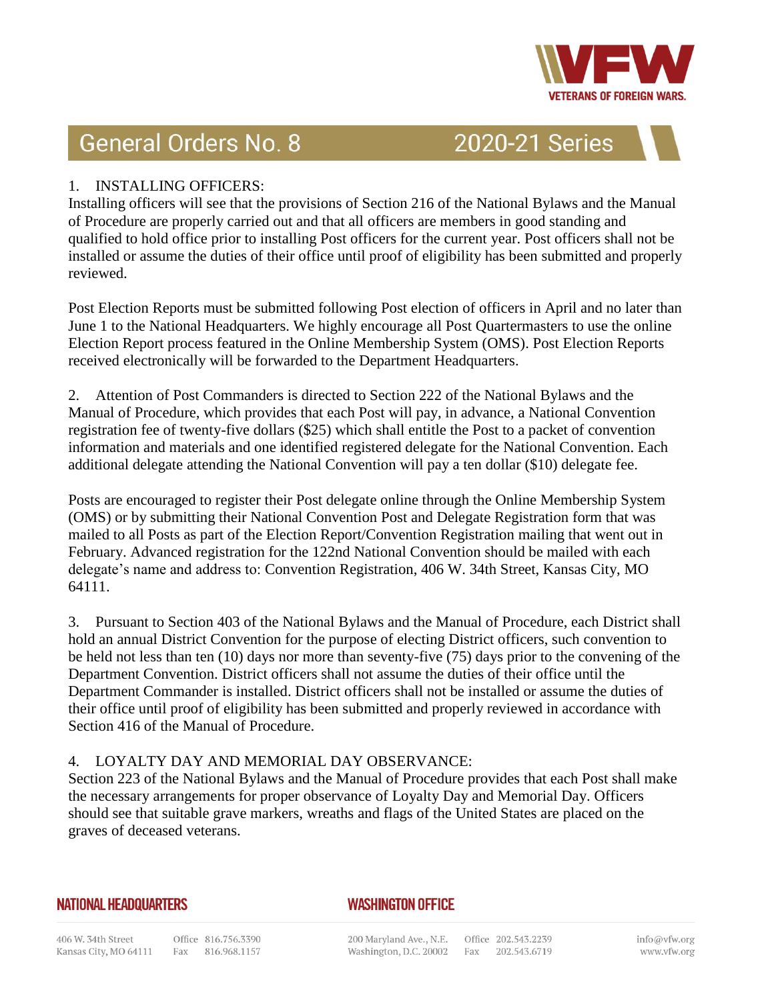

# **General Orders No. 8**

2020-21 Series

## 1. INSTALLING OFFICERS:

Installing officers will see that the provisions of Section 216 of the National Bylaws and the Manual of Procedure are properly carried out and that all officers are members in good standing and qualified to hold office prior to installing Post officers for the current year. Post officers shall not be installed or assume the duties of their office until proof of eligibility has been submitted and properly reviewed.

Post Election Reports must be submitted following Post election of officers in April and no later than June 1 to the National Headquarters. We highly encourage all Post Quartermasters to use the online Election Report process featured in the Online Membership System (OMS). Post Election Reports received electronically will be forwarded to the Department Headquarters.

2. Attention of Post Commanders is directed to Section 222 of the National Bylaws and the Manual of Procedure, which provides that each Post will pay, in advance, a National Convention registration fee of twenty-five dollars (\$25) which shall entitle the Post to a packet of convention information and materials and one identified registered delegate for the National Convention. Each additional delegate attending the National Convention will pay a ten dollar (\$10) delegate fee.

Posts are encouraged to register their Post delegate online through the Online Membership System (OMS) or by submitting their National Convention Post and Delegate Registration form that was mailed to all Posts as part of the Election Report/Convention Registration mailing that went out in February. Advanced registration for the 122nd National Convention should be mailed with each delegate's name and address to: Convention Registration, 406 W. 34th Street, Kansas City, MO 64111.

3. Pursuant to Section 403 of the National Bylaws and the Manual of Procedure, each District shall hold an annual District Convention for the purpose of electing District officers, such convention to be held not less than ten (10) days nor more than seventy-five (75) days prior to the convening of the Department Convention. District officers shall not assume the duties of their office until the Department Commander is installed. District officers shall not be installed or assume the duties of their office until proof of eligibility has been submitted and properly reviewed in accordance with Section 416 of the Manual of Procedure.

# 4. LOYALTY DAY AND MEMORIAL DAY OBSERVANCE:

Section 223 of the National Bylaws and the Manual of Procedure provides that each Post shall make the necessary arrangements for proper observance of Loyalty Day and Memorial Day. Officers should see that suitable grave markers, wreaths and flags of the United States are placed on the graves of deceased veterans.

#### **NATIONAL HEADQUARTERS**

# **WASHINGTON OFFICE**

200 Maryland Ave., N.E. Office 202.543.2239 Washington, D.C. 20002 Fax 202.543.6719